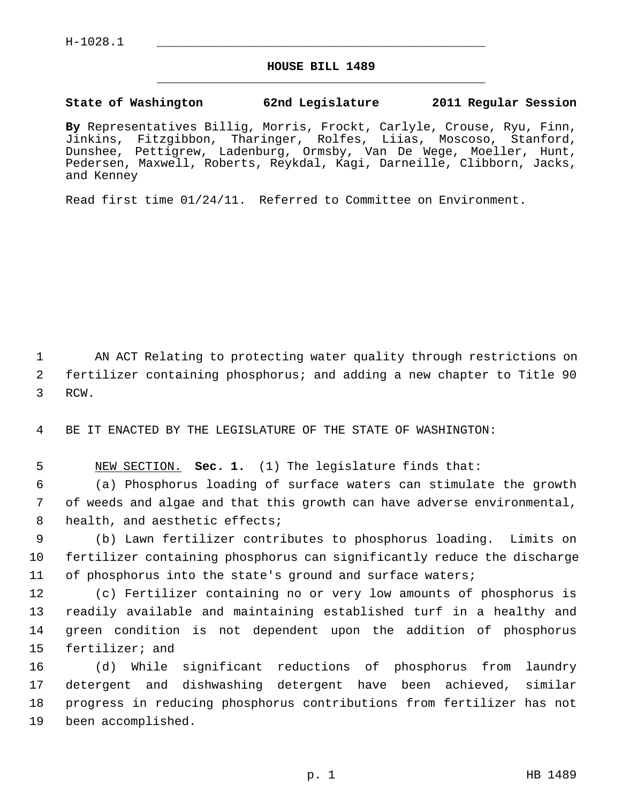## **HOUSE BILL 1489** \_\_\_\_\_\_\_\_\_\_\_\_\_\_\_\_\_\_\_\_\_\_\_\_\_\_\_\_\_\_\_\_\_\_\_\_\_\_\_\_\_\_\_\_\_

## **State of Washington 62nd Legislature 2011 Regular Session**

**By** Representatives Billig, Morris, Frockt, Carlyle, Crouse, Ryu, Finn, Jinkins, Fitzgibbon, Tharinger, Rolfes, Liias, Moscoso, Stanford, Dunshee, Pettigrew, Ladenburg, Ormsby, Van De Wege, Moeller, Hunt, Pedersen, Maxwell, Roberts, Reykdal, Kagi, Darneille, Clibborn, Jacks, and Kenney

Read first time 01/24/11. Referred to Committee on Environment.

 1 AN ACT Relating to protecting water quality through restrictions on 2 fertilizer containing phosphorus; and adding a new chapter to Title 90 3 RCW.

4 BE IT ENACTED BY THE LEGISLATURE OF THE STATE OF WASHINGTON:

5 NEW SECTION. **Sec. 1.** (1) The legislature finds that:

 6 (a) Phosphorus loading of surface waters can stimulate the growth 7 of weeds and algae and that this growth can have adverse environmental, 8 health, and aesthetic effects;

 9 (b) Lawn fertilizer contributes to phosphorus loading. Limits on 10 fertilizer containing phosphorus can significantly reduce the discharge 11 of phosphorus into the state's ground and surface waters;

12 (c) Fertilizer containing no or very low amounts of phosphorus is 13 readily available and maintaining established turf in a healthy and 14 green condition is not dependent upon the addition of phosphorus 15 fertilizer; and

16 (d) While significant reductions of phosphorus from laundry 17 detergent and dishwashing detergent have been achieved, similar 18 progress in reducing phosphorus contributions from fertilizer has not 19 been accomplished.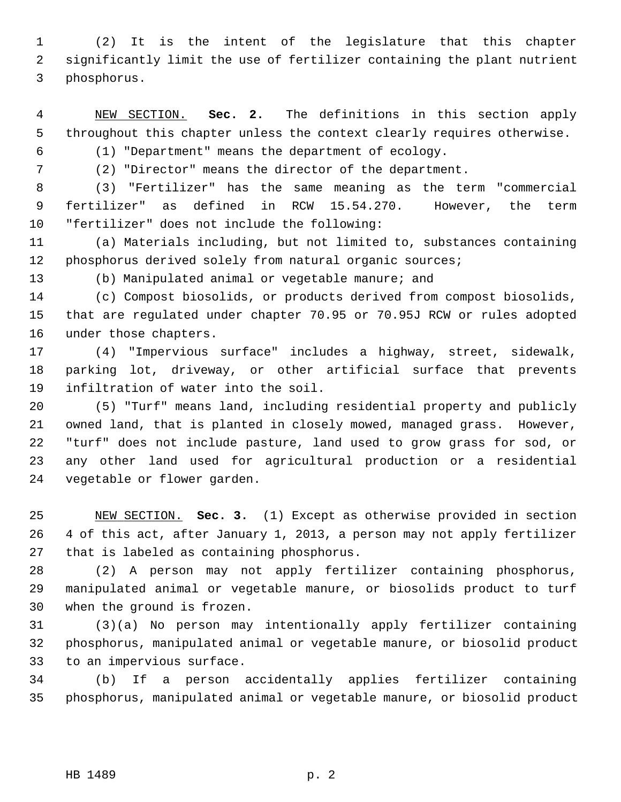1 (2) It is the intent of the legislature that this chapter 2 significantly limit the use of fertilizer containing the plant nutrient 3 phosphorus.

 4 NEW SECTION. **Sec. 2.** The definitions in this section apply 5 throughout this chapter unless the context clearly requires otherwise.

6 (1) "Department" means the department of ecology.

7 (2) "Director" means the director of the department.

 8 (3) "Fertilizer" has the same meaning as the term "commercial 9 fertilizer" as defined in RCW 15.54.270. However, the term 10 "fertilizer" does not include the following:

11 (a) Materials including, but not limited to, substances containing 12 phosphorus derived solely from natural organic sources;

13 (b) Manipulated animal or vegetable manure; and

14 (c) Compost biosolids, or products derived from compost biosolids, 15 that are regulated under chapter 70.95 or 70.95J RCW or rules adopted 16 under those chapters.

17 (4) "Impervious surface" includes a highway, street, sidewalk, 18 parking lot, driveway, or other artificial surface that prevents 19 infiltration of water into the soil.

20 (5) "Turf" means land, including residential property and publicly 21 owned land, that is planted in closely mowed, managed grass. However, 22 "turf" does not include pasture, land used to grow grass for sod, or 23 any other land used for agricultural production or a residential 24 vegetable or flower garden.

25 NEW SECTION. **Sec. 3.** (1) Except as otherwise provided in section 26 4 of this act, after January 1, 2013, a person may not apply fertilizer 27 that is labeled as containing phosphorus.

28 (2) A person may not apply fertilizer containing phosphorus, 29 manipulated animal or vegetable manure, or biosolids product to turf 30 when the ground is frozen.

31 (3)(a) No person may intentionally apply fertilizer containing 32 phosphorus, manipulated animal or vegetable manure, or biosolid product 33 to an impervious surface.

34 (b) If a person accidentally applies fertilizer containing 35 phosphorus, manipulated animal or vegetable manure, or biosolid product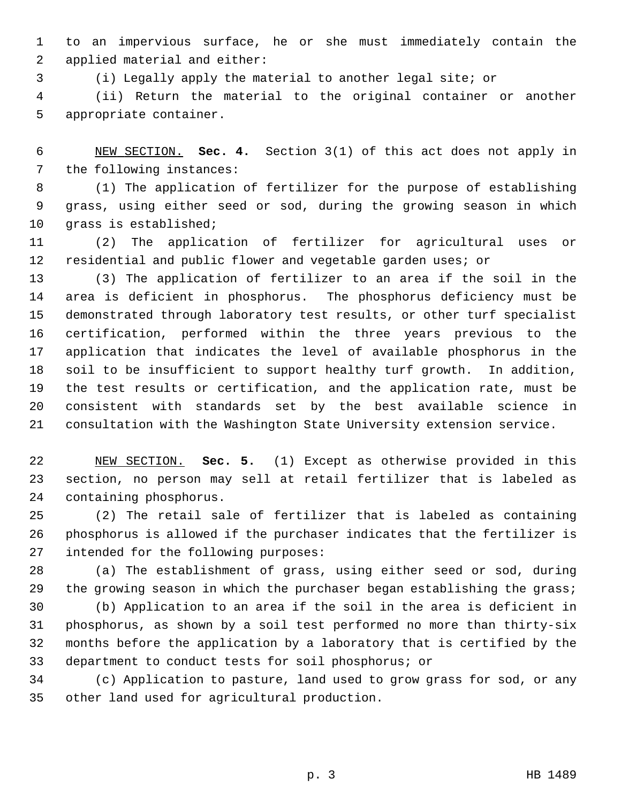1 to an impervious surface, he or she must immediately contain the 2 applied material and either:

3 (i) Legally apply the material to another legal site; or

 4 (ii) Return the material to the original container or another 5 appropriate container.

 6 NEW SECTION. **Sec. 4.** Section 3(1) of this act does not apply in 7 the following instances:

 8 (1) The application of fertilizer for the purpose of establishing 9 grass, using either seed or sod, during the growing season in which 10 grass is established;

11 (2) The application of fertilizer for agricultural uses or 12 residential and public flower and vegetable garden uses; or

13 (3) The application of fertilizer to an area if the soil in the 14 area is deficient in phosphorus. The phosphorus deficiency must be 15 demonstrated through laboratory test results, or other turf specialist 16 certification, performed within the three years previous to the 17 application that indicates the level of available phosphorus in the 18 soil to be insufficient to support healthy turf growth. In addition, 19 the test results or certification, and the application rate, must be 20 consistent with standards set by the best available science in 21 consultation with the Washington State University extension service.

22 NEW SECTION. **Sec. 5.** (1) Except as otherwise provided in this 23 section, no person may sell at retail fertilizer that is labeled as 24 containing phosphorus.

25 (2) The retail sale of fertilizer that is labeled as containing 26 phosphorus is allowed if the purchaser indicates that the fertilizer is 27 intended for the following purposes:

28 (a) The establishment of grass, using either seed or sod, during 29 the growing season in which the purchaser began establishing the grass;

30 (b) Application to an area if the soil in the area is deficient in 31 phosphorus, as shown by a soil test performed no more than thirty-six 32 months before the application by a laboratory that is certified by the 33 department to conduct tests for soil phosphorus; or

34 (c) Application to pasture, land used to grow grass for sod, or any 35 other land used for agricultural production.